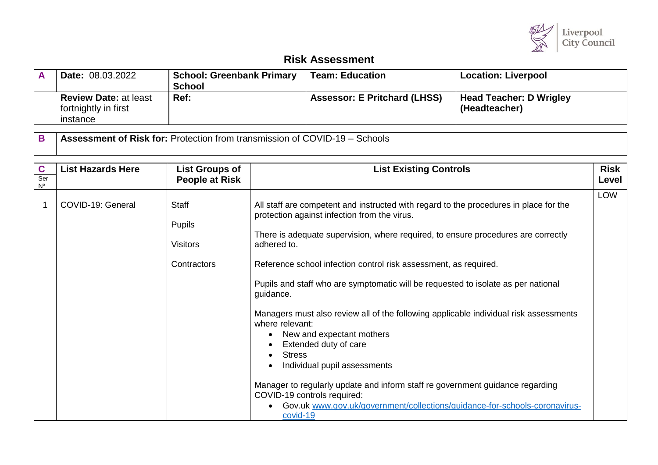

## **Risk Assessment**

| <b>Date: 08.03.2022</b>                                          | <b>School: Greenbank Primary</b><br><b>School</b> | <b>Team: Education</b>              | <b>Location: Liverpool</b>               |
|------------------------------------------------------------------|---------------------------------------------------|-------------------------------------|------------------------------------------|
| <b>Review Date: at least</b><br>fortnightly in first<br>instance | Ref:                                              | <b>Assessor: E Pritchard (LHSS)</b> | Head Teacher: D Wrigley<br>(Headteacher) |

**B Assessment of Risk for:** Protection from transmission of COVID-19 – Schools

| $\mathbf{C}$<br>Ser<br>$N^{\circ}$ | <b>List Hazards Here</b> | <b>List Groups of</b><br><b>People at Risk</b>                  | <b>List Existing Controls</b>                                                                                                                                                                                                                                                                                                                                                                                                                                                                                                                                                                                                                                                                                                                                                                                                                                                       | <b>Risk</b><br>Level |
|------------------------------------|--------------------------|-----------------------------------------------------------------|-------------------------------------------------------------------------------------------------------------------------------------------------------------------------------------------------------------------------------------------------------------------------------------------------------------------------------------------------------------------------------------------------------------------------------------------------------------------------------------------------------------------------------------------------------------------------------------------------------------------------------------------------------------------------------------------------------------------------------------------------------------------------------------------------------------------------------------------------------------------------------------|----------------------|
|                                    | COVID-19: General        | <b>Staff</b><br><b>Pupils</b><br><b>Visitors</b><br>Contractors | All staff are competent and instructed with regard to the procedures in place for the<br>protection against infection from the virus.<br>There is adequate supervision, where required, to ensure procedures are correctly<br>adhered to.<br>Reference school infection control risk assessment, as required.<br>Pupils and staff who are symptomatic will be requested to isolate as per national<br>guidance.<br>Managers must also review all of the following applicable individual risk assessments<br>where relevant:<br>New and expectant mothers<br>$\bullet$<br>Extended duty of care<br><b>Stress</b><br>$\bullet$<br>Individual pupil assessments<br>$\bullet$<br>Manager to regularly update and inform staff re government guidance regarding<br>COVID-19 controls required:<br>Gov.uk www.gov.uk/government/collections/guidance-for-schools-coronavirus-<br>covid-19 | <b>LOW</b>           |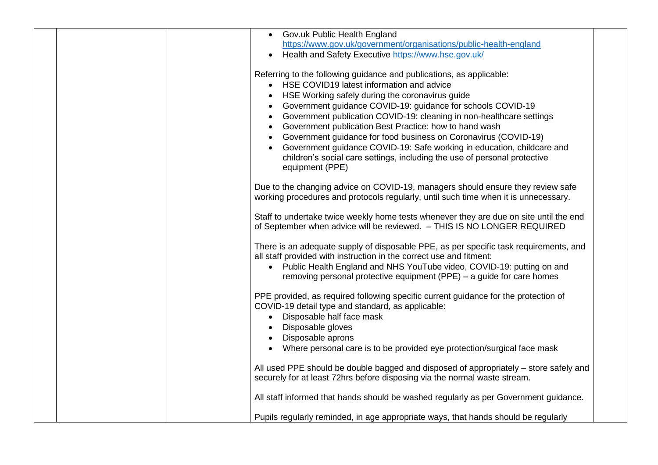| • Gov.uk Public Health England                                                         |
|----------------------------------------------------------------------------------------|
| https://www.gov.uk/government/organisations/public-health-england                      |
| Health and Safety Executive https://www.hse.gov.uk/                                    |
| $\bullet$                                                                              |
| Referring to the following guidance and publications, as applicable:                   |
| • HSE COVID19 latest information and advice                                            |
| HSE Working safely during the coronavirus guide                                        |
| Government guidance COVID-19: guidance for schools COVID-19                            |
| • Government publication COVID-19: cleaning in non-healthcare settings                 |
| • Government publication Best Practice: how to hand wash                               |
| • Government guidance for food business on Coronavirus (COVID-19)                      |
| Government guidance COVID-19: Safe working in education, childcare and                 |
| children's social care settings, including the use of personal protective              |
| equipment (PPE)                                                                        |
|                                                                                        |
| Due to the changing advice on COVID-19, managers should ensure they review safe        |
| working procedures and protocols regularly, until such time when it is unnecessary.    |
|                                                                                        |
| Staff to undertake twice weekly home tests whenever they are due on site until the end |
| of September when advice will be reviewed. - THIS IS NO LONGER REQUIRED                |
|                                                                                        |
| There is an adequate supply of disposable PPE, as per specific task requirements, and  |
| all staff provided with instruction in the correct use and fitment:                    |
| • Public Health England and NHS YouTube video, COVID-19: putting on and                |
| removing personal protective equipment (PPE) – a guide for care homes                  |
|                                                                                        |
| PPE provided, as required following specific current guidance for the protection of    |
| COVID-19 detail type and standard, as applicable:                                      |
| Disposable half face mask<br>$\bullet$                                                 |
| Disposable gloves                                                                      |
| Disposable aprons                                                                      |
| • Where personal care is to be provided eye protection/surgical face mask              |
|                                                                                        |
| All used PPE should be double bagged and disposed of appropriately - store safely and  |
| securely for at least 72hrs before disposing via the normal waste stream.              |
|                                                                                        |
| All staff informed that hands should be washed regularly as per Government guidance.   |
|                                                                                        |
| Pupils regularly reminded, in age appropriate ways, that hands should be regularly     |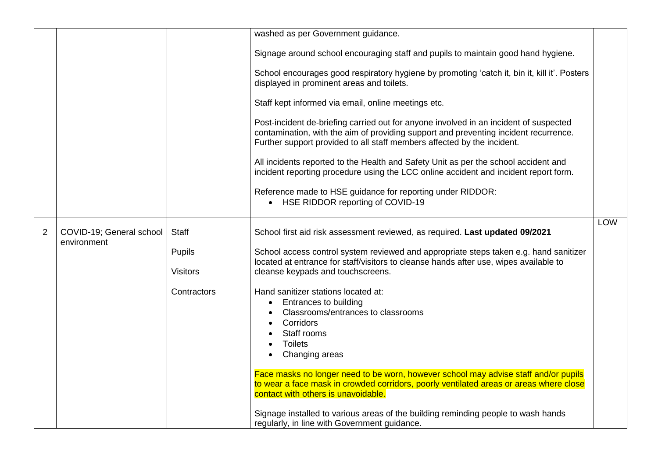|                |                                         |                 | washed as per Government guidance.                                                                                                                                                                                                                       |            |
|----------------|-----------------------------------------|-----------------|----------------------------------------------------------------------------------------------------------------------------------------------------------------------------------------------------------------------------------------------------------|------------|
|                |                                         |                 | Signage around school encouraging staff and pupils to maintain good hand hygiene.                                                                                                                                                                        |            |
|                |                                         |                 | School encourages good respiratory hygiene by promoting 'catch it, bin it, kill it'. Posters<br>displayed in prominent areas and toilets.                                                                                                                |            |
|                |                                         |                 | Staff kept informed via email, online meetings etc.                                                                                                                                                                                                      |            |
|                |                                         |                 | Post-incident de-briefing carried out for anyone involved in an incident of suspected<br>contamination, with the aim of providing support and preventing incident recurrence.<br>Further support provided to all staff members affected by the incident. |            |
|                |                                         |                 | All incidents reported to the Health and Safety Unit as per the school accident and<br>incident reporting procedure using the LCC online accident and incident report form.                                                                              |            |
|                |                                         |                 | Reference made to HSE guidance for reporting under RIDDOR:<br>• HSE RIDDOR reporting of COVID-19                                                                                                                                                         |            |
|                |                                         |                 |                                                                                                                                                                                                                                                          | <b>LOW</b> |
| $\overline{2}$ | COVID-19; General school<br>environment | <b>Staff</b>    | School first aid risk assessment reviewed, as required. Last updated 09/2021                                                                                                                                                                             |            |
|                |                                         | <b>Pupils</b>   | School access control system reviewed and appropriate steps taken e.g. hand sanitizer                                                                                                                                                                    |            |
|                |                                         | <b>Visitors</b> | located at entrance for staff/visitors to cleanse hands after use, wipes available to<br>cleanse keypads and touchscreens.                                                                                                                               |            |
|                |                                         | Contractors     | Hand sanitizer stations located at:                                                                                                                                                                                                                      |            |
|                |                                         |                 | <b>Entrances to building</b>                                                                                                                                                                                                                             |            |
|                |                                         |                 | Classrooms/entrances to classrooms                                                                                                                                                                                                                       |            |
|                |                                         |                 | Corridors<br>Staff rooms                                                                                                                                                                                                                                 |            |
|                |                                         |                 | <b>Toilets</b>                                                                                                                                                                                                                                           |            |
|                |                                         |                 | Changing areas                                                                                                                                                                                                                                           |            |
|                |                                         |                 | Face masks no longer need to be worn, however school may advise staff and/or pupils                                                                                                                                                                      |            |
|                |                                         |                 | to wear a face mask in crowded corridors, poorly ventilated areas or areas where close<br>contact with others is unavoidable.                                                                                                                            |            |
|                |                                         |                 | Signage installed to various areas of the building reminding people to wash hands<br>regularly, in line with Government guidance.                                                                                                                        |            |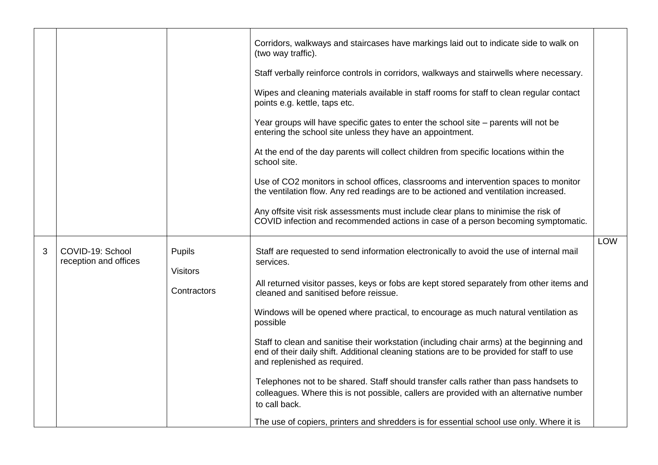|   |                                           |                           | Corridors, walkways and staircases have markings laid out to indicate side to walk on<br>(two way traffic).                                                                                                             |            |
|---|-------------------------------------------|---------------------------|-------------------------------------------------------------------------------------------------------------------------------------------------------------------------------------------------------------------------|------------|
|   |                                           |                           | Staff verbally reinforce controls in corridors, walkways and stairwells where necessary.                                                                                                                                |            |
|   |                                           |                           | Wipes and cleaning materials available in staff rooms for staff to clean regular contact<br>points e.g. kettle, taps etc.                                                                                               |            |
|   |                                           |                           | Year groups will have specific gates to enter the school site – parents will not be<br>entering the school site unless they have an appointment.                                                                        |            |
|   |                                           |                           | At the end of the day parents will collect children from specific locations within the<br>school site.                                                                                                                  |            |
|   |                                           |                           | Use of CO2 monitors in school offices, classrooms and intervention spaces to monitor<br>the ventilation flow. Any red readings are to be actioned and ventilation increased.                                            |            |
|   |                                           |                           | Any offsite visit risk assessments must include clear plans to minimise the risk of<br>COVID infection and recommended actions in case of a person becoming symptomatic.                                                |            |
| 3 | COVID-19: School<br>reception and offices | Pupils<br><b>Visitors</b> | Staff are requested to send information electronically to avoid the use of internal mail<br>services.                                                                                                                   | <b>LOW</b> |
|   |                                           | Contractors               | All returned visitor passes, keys or fobs are kept stored separately from other items and<br>cleaned and sanitised before reissue.                                                                                      |            |
|   |                                           |                           | Windows will be opened where practical, to encourage as much natural ventilation as<br>possible                                                                                                                         |            |
|   |                                           |                           | Staff to clean and sanitise their workstation (including chair arms) at the beginning and<br>end of their daily shift. Additional cleaning stations are to be provided for staff to use<br>and replenished as required. |            |
|   |                                           |                           | Telephones not to be shared. Staff should transfer calls rather than pass handsets to<br>colleagues. Where this is not possible, callers are provided with an alternative number<br>to call back.                       |            |
|   |                                           |                           | The use of copiers, printers and shredders is for essential school use only. Where it is                                                                                                                                |            |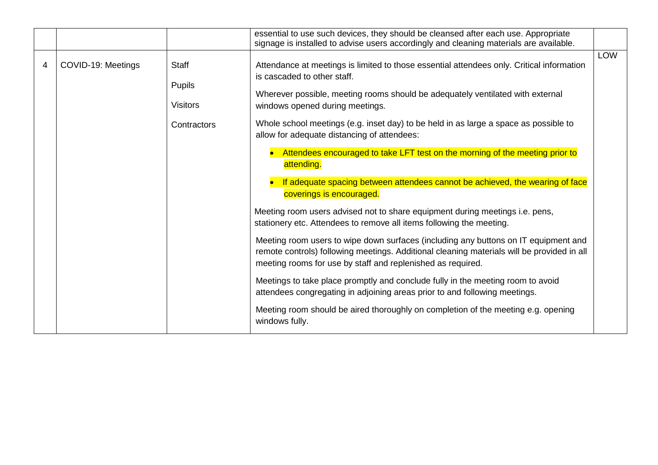|   |                    |                                                                 | essential to use such devices, they should be cleansed after each use. Appropriate<br>signage is installed to advise users accordingly and cleaning materials are available.                                                                                                                                                                                                                                                                                                                                                                                                                                                                                                                                                                                                                                                                                                                                                                                                                                                                                                                                                                                                                                                                                                        |     |
|---|--------------------|-----------------------------------------------------------------|-------------------------------------------------------------------------------------------------------------------------------------------------------------------------------------------------------------------------------------------------------------------------------------------------------------------------------------------------------------------------------------------------------------------------------------------------------------------------------------------------------------------------------------------------------------------------------------------------------------------------------------------------------------------------------------------------------------------------------------------------------------------------------------------------------------------------------------------------------------------------------------------------------------------------------------------------------------------------------------------------------------------------------------------------------------------------------------------------------------------------------------------------------------------------------------------------------------------------------------------------------------------------------------|-----|
| 4 | COVID-19: Meetings | <b>Staff</b><br><b>Pupils</b><br><b>Visitors</b><br>Contractors | Attendance at meetings is limited to those essential attendees only. Critical information<br>is cascaded to other staff.<br>Wherever possible, meeting rooms should be adequately ventilated with external<br>windows opened during meetings.<br>Whole school meetings (e.g. inset day) to be held in as large a space as possible to<br>allow for adequate distancing of attendees:<br>Attendees encouraged to take LFT test on the morning of the meeting prior to<br>attending.<br>If adequate spacing between attendees cannot be achieved, the wearing of face<br>coverings is encouraged.<br>Meeting room users advised not to share equipment during meetings i.e. pens,<br>stationery etc. Attendees to remove all items following the meeting.<br>Meeting room users to wipe down surfaces (including any buttons on IT equipment and<br>remote controls) following meetings. Additional cleaning materials will be provided in all<br>meeting rooms for use by staff and replenished as required.<br>Meetings to take place promptly and conclude fully in the meeting room to avoid<br>attendees congregating in adjoining areas prior to and following meetings.<br>Meeting room should be aired thoroughly on completion of the meeting e.g. opening<br>windows fully. | LOW |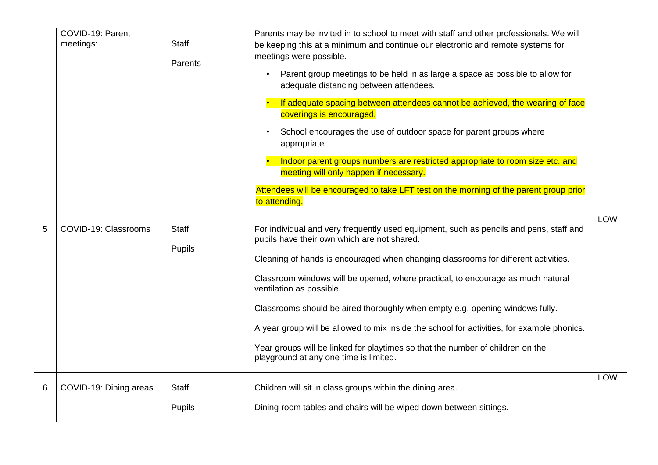|   | COVID-19: Parent<br>meetings: | <b>Staff</b><br>Parents       | Parents may be invited in to school to meet with staff and other professionals. We will<br>be keeping this at a minimum and continue our electronic and remote systems for<br>meetings were possible.<br>Parent group meetings to be held in as large a space as possible to allow for<br>$\bullet$<br>adequate distancing between attendees.<br>If adequate spacing between attendees cannot be achieved, the wearing of face<br>coverings is encouraged.<br>School encourages the use of outdoor space for parent groups where<br>appropriate.<br>Indoor parent groups numbers are restricted appropriate to room size etc. and<br>meeting will only happen if necessary.<br>Attendees will be encouraged to take LFT test on the morning of the parent group prior<br>to attending. |            |
|---|-------------------------------|-------------------------------|----------------------------------------------------------------------------------------------------------------------------------------------------------------------------------------------------------------------------------------------------------------------------------------------------------------------------------------------------------------------------------------------------------------------------------------------------------------------------------------------------------------------------------------------------------------------------------------------------------------------------------------------------------------------------------------------------------------------------------------------------------------------------------------|------------|
| 5 | COVID-19: Classrooms          | <b>Staff</b><br>Pupils        | For individual and very frequently used equipment, such as pencils and pens, staff and<br>pupils have their own which are not shared.<br>Cleaning of hands is encouraged when changing classrooms for different activities.<br>Classroom windows will be opened, where practical, to encourage as much natural<br>ventilation as possible.<br>Classrooms should be aired thoroughly when empty e.g. opening windows fully.<br>A year group will be allowed to mix inside the school for activities, for example phonics.<br>Year groups will be linked for playtimes so that the number of children on the<br>playground at any one time is limited.                                                                                                                                   | <b>LOW</b> |
| 6 | COVID-19: Dining areas        | <b>Staff</b><br><b>Pupils</b> | Children will sit in class groups within the dining area.<br>Dining room tables and chairs will be wiped down between sittings.                                                                                                                                                                                                                                                                                                                                                                                                                                                                                                                                                                                                                                                        | <b>LOW</b> |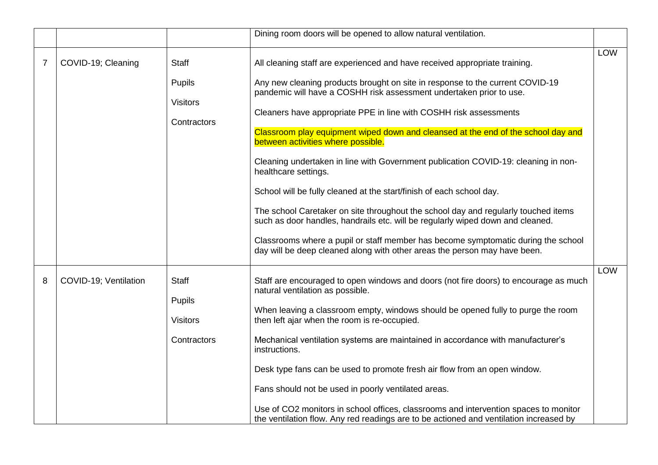|                |                       |                                                                 | Dining room doors will be opened to allow natural ventilation.                                                                                                                                                                                                                                                                                                                                                                                                                                                                                                                                                                                                                                                                                                                                                                                                                                                                                                     |            |
|----------------|-----------------------|-----------------------------------------------------------------|--------------------------------------------------------------------------------------------------------------------------------------------------------------------------------------------------------------------------------------------------------------------------------------------------------------------------------------------------------------------------------------------------------------------------------------------------------------------------------------------------------------------------------------------------------------------------------------------------------------------------------------------------------------------------------------------------------------------------------------------------------------------------------------------------------------------------------------------------------------------------------------------------------------------------------------------------------------------|------------|
|                |                       |                                                                 |                                                                                                                                                                                                                                                                                                                                                                                                                                                                                                                                                                                                                                                                                                                                                                                                                                                                                                                                                                    | <b>LOW</b> |
| $\overline{7}$ | COVID-19; Cleaning    | <b>Staff</b><br><b>Pupils</b><br><b>Visitors</b><br>Contractors | All cleaning staff are experienced and have received appropriate training.<br>Any new cleaning products brought on site in response to the current COVID-19<br>pandemic will have a COSHH risk assessment undertaken prior to use.<br>Cleaners have appropriate PPE in line with COSHH risk assessments<br>Classroom play equipment wiped down and cleansed at the end of the school day and<br>between activities where possible.<br>Cleaning undertaken in line with Government publication COVID-19: cleaning in non-<br>healthcare settings.<br>School will be fully cleaned at the start/finish of each school day.<br>The school Caretaker on site throughout the school day and regularly touched items<br>such as door handles, handrails etc. will be regularly wiped down and cleaned.<br>Classrooms where a pupil or staff member has become symptomatic during the school<br>day will be deep cleaned along with other areas the person may have been. |            |
| 8              | COVID-19; Ventilation | <b>Staff</b><br>Pupils<br><b>Visitors</b><br>Contractors        | Staff are encouraged to open windows and doors (not fire doors) to encourage as much<br>natural ventilation as possible.<br>When leaving a classroom empty, windows should be opened fully to purge the room<br>then left ajar when the room is re-occupied.<br>Mechanical ventilation systems are maintained in accordance with manufacturer's<br>instructions.<br>Desk type fans can be used to promote fresh air flow from an open window.<br>Fans should not be used in poorly ventilated areas.<br>Use of CO2 monitors in school offices, classrooms and intervention spaces to monitor<br>the ventilation flow. Any red readings are to be actioned and ventilation increased by                                                                                                                                                                                                                                                                             | <b>LOW</b> |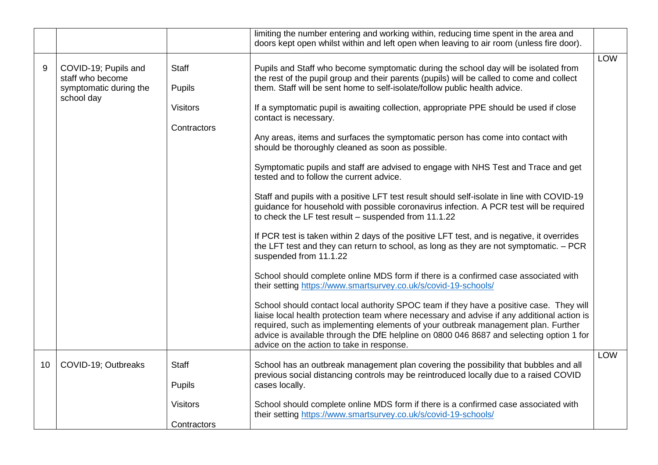|    |                                                                                  |                                                          | limiting the number entering and working within, reducing time spent in the area and<br>doors kept open whilst within and left open when leaving to air room (unless fire door).                                                                                                                                                                                                                                                                                                                                                                                                                                                                                                                                                                                                                                                                                                                                                                                                                                                                                                                                                                                                                                                                                                                                                                                                                                                                                                                                                                                                                                                                                                                                |            |
|----|----------------------------------------------------------------------------------|----------------------------------------------------------|-----------------------------------------------------------------------------------------------------------------------------------------------------------------------------------------------------------------------------------------------------------------------------------------------------------------------------------------------------------------------------------------------------------------------------------------------------------------------------------------------------------------------------------------------------------------------------------------------------------------------------------------------------------------------------------------------------------------------------------------------------------------------------------------------------------------------------------------------------------------------------------------------------------------------------------------------------------------------------------------------------------------------------------------------------------------------------------------------------------------------------------------------------------------------------------------------------------------------------------------------------------------------------------------------------------------------------------------------------------------------------------------------------------------------------------------------------------------------------------------------------------------------------------------------------------------------------------------------------------------------------------------------------------------------------------------------------------------|------------|
| 9  | COVID-19; Pupils and<br>staff who become<br>symptomatic during the<br>school day | <b>Staff</b><br>Pupils<br><b>Visitors</b><br>Contractors | Pupils and Staff who become symptomatic during the school day will be isolated from<br>the rest of the pupil group and their parents (pupils) will be called to come and collect<br>them. Staff will be sent home to self-isolate/follow public health advice.<br>If a symptomatic pupil is awaiting collection, appropriate PPE should be used if close<br>contact is necessary.<br>Any areas, items and surfaces the symptomatic person has come into contact with<br>should be thoroughly cleaned as soon as possible.<br>Symptomatic pupils and staff are advised to engage with NHS Test and Trace and get<br>tested and to follow the current advice.<br>Staff and pupils with a positive LFT test result should self-isolate in line with COVID-19<br>guidance for household with possible coronavirus infection. A PCR test will be required<br>to check the LF test result - suspended from 11.1.22<br>If PCR test is taken within 2 days of the positive LFT test, and is negative, it overrides<br>the LFT test and they can return to school, as long as they are not symptomatic. - PCR<br>suspended from 11.1.22<br>School should complete online MDS form if there is a confirmed case associated with<br>their setting https://www.smartsurvey.co.uk/s/covid-19-schools/<br>School should contact local authority SPOC team if they have a positive case. They will<br>liaise local health protection team where necessary and advise if any additional action is<br>required, such as implementing elements of your outbreak management plan. Further<br>advice is available through the DfE helpline on 0800 046 8687 and selecting option 1 for<br>advice on the action to take in response. | LOW        |
| 10 | COVID-19; Outbreaks                                                              | <b>Staff</b><br><b>Pupils</b>                            | School has an outbreak management plan covering the possibility that bubbles and all<br>previous social distancing controls may be reintroduced locally due to a raised COVID<br>cases locally.                                                                                                                                                                                                                                                                                                                                                                                                                                                                                                                                                                                                                                                                                                                                                                                                                                                                                                                                                                                                                                                                                                                                                                                                                                                                                                                                                                                                                                                                                                                 | <b>LOW</b> |
|    |                                                                                  | <b>Visitors</b><br>Contractors                           | School should complete online MDS form if there is a confirmed case associated with<br>their setting https://www.smartsurvey.co.uk/s/covid-19-schools/                                                                                                                                                                                                                                                                                                                                                                                                                                                                                                                                                                                                                                                                                                                                                                                                                                                                                                                                                                                                                                                                                                                                                                                                                                                                                                                                                                                                                                                                                                                                                          |            |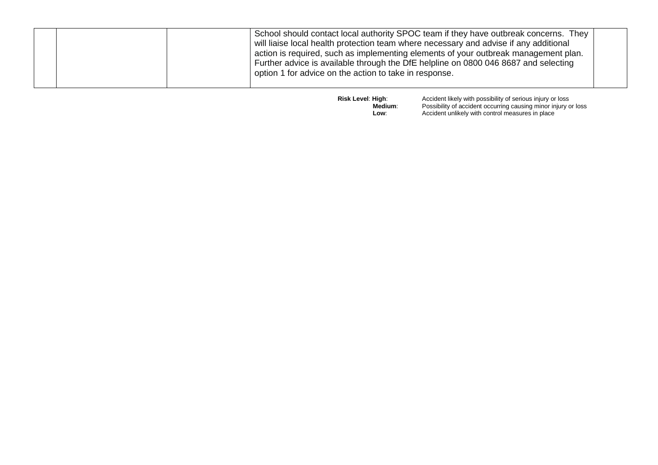| School should contact local authority SPOC team if they have outbreak concerns. They<br>will liaise local health protection team where necessary and advise if any additional<br>action is required, such as implementing elements of your outbreak management plan.<br>Further advice is available through the DfE helpline on 0800 046 8687 and selecting<br>option 1 for advice on the action to take in response. |  |
|-----------------------------------------------------------------------------------------------------------------------------------------------------------------------------------------------------------------------------------------------------------------------------------------------------------------------------------------------------------------------------------------------------------------------|--|
|-----------------------------------------------------------------------------------------------------------------------------------------------------------------------------------------------------------------------------------------------------------------------------------------------------------------------------------------------------------------------------------------------------------------------|--|

**Risk Level: High:** Accident likely with possibility of serious injury or loss  **Medium**: Possibility of accident occurring causing minor injury or loss **Low**: **Conserve Accident unlikely with control measures in place**